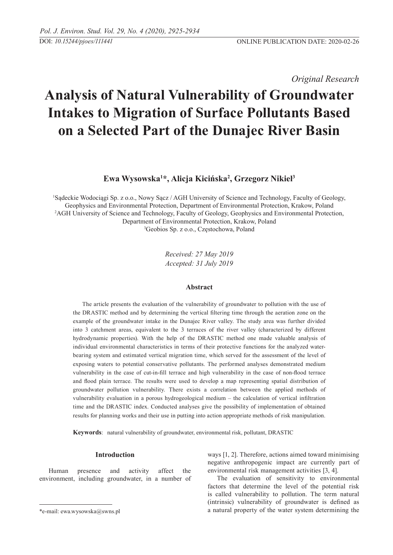*Original Research* 

# **Analysis of Natural Vulnerability of Groundwater Intakes to Migration of Surface Pollutants Based on a Selected Part of the Dunajec River Basin**

# **Ewa Wysowska1 \*, Alicja Kicińska<sup>2</sup> , Grzegorz Nikiel3**

1 Sądeckie Wodociągi Sp. z o.o., Nowy Sącz / AGH University of Science and Technology, Faculty of Geology, Geophysics and Environmental Protection, Department of Environmental Protection, Krakow, Poland 2 AGH University of Science and Technology, Faculty of Geology, Geophysics and Environmental Protection, Department of Environmental Protection, Krakow, Poland 3 Geobios Sp. z o.o., Częstochowa, Poland

> *Received: 27 May 2019 Accepted: 31 July 2019*

## **Abstract**

The article presents the evaluation of the vulnerability of groundwater to pollution with the use of the DRASTIC method and by determining the vertical filtering time through the aeration zone on the example of the groundwater intake in the Dunajec River valley. The study area was further divided into 3 catchment areas, equivalent to the 3 terraces of the river valley (characterized by different hydrodynamic properties). With the help of the DRASTIC method one made valuable analysis of individual environmental characteristics in terms of their protective functions for the analyzed waterbearing system and estimated vertical migration time, which served for the assessment of the level of exposing waters to potential conservative pollutants. The performed analyses demonstrated medium vulnerability in the case of cut-in-fill terrace and high vulnerability in the case of non-flood terrace and flood plain terrace. The results were used to develop a map representing spatial distribution of groundwater pollution vulnerability. There exists a correlation between the applied methods of vulnerability evaluation in a porous hydrogeological medium – the calculation of vertical infiltration time and the DRASTIC index. Conducted analyses give the possibility of implementation of obtained results for planning works and their use in putting into action appropriate methods of risk manipulation.

**Keywords**: natural vulnerability of groundwater, environmental risk, pollutant, DRASTIC

#### **Introduction**

Human presence and activity affect the environment, including groundwater, in a number of ways [1, 2]. Therefore, actions aimed toward minimising negative anthropogenic impact are currently part of environmental risk management activities [3, 4].

The evaluation of sensitivity to environmental factors that determine the level of the potential risk is called vulnerability to pollution. The term natural (intrinsic) vulnerability of groundwater is defined as a natural property of the water system determining the

<sup>\*</sup>e-mail: ewa.wysowska@swns.pl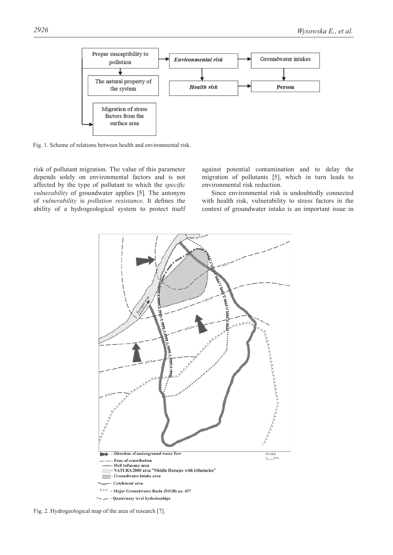

Fig. 1. Scheme of relations between health and environmental risk.

risk of pollutant migration. The value of this parameter depends solely on environmental factors and is not affected by the type of pollutant to which the *specific vulnerability* of groundwater applies [5]. The antonym of *vulnerability* is *pollution resistance*. It defines the ability of a hydrogeological system to protect itself against potential contamination and to delay the migration of pollutants [5], which in turn leads to environmental risk reduction.

Since environmental risk is undoubtedly connected with health risk, vulnerability to stress factors in the context of groundwater intake is an important issue in



Fig. 2. Hydrogeological map of the area of research [7].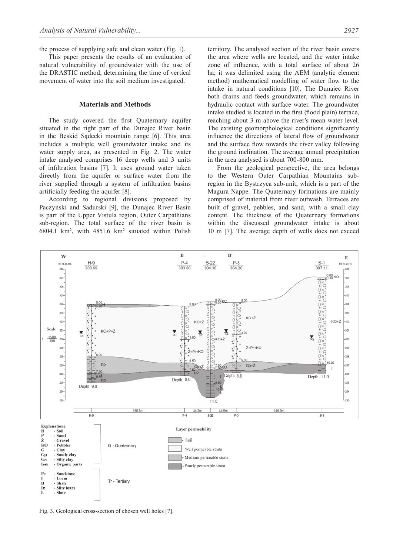the process of supplying safe and clean water (Fig. 1).

This paper presents the results of an evaluation of natural vulnerability of groundwater with the use of the DRASTIC method, determining the time of vertical movement of water into the soil medium investigated.

### **Materials and Methods**

The study covered the first Quaternary aquifer situated in the right part of the Dunajec River basin in the Beskid Sądecki mountain range [6]. This area includes a multiple well groundwater intake and its water supply area, as presented in Fig. 2. The water intake analysed comprises 16 deep wells and 3 units of infiltration basins [7]. It uses ground water taken directly from the aquifer or surface water from the river supplied through a system of infiltration basins artificially feeding the aquifer [8].

According to regional divisions proposed by Paczyński and Sadurski [9], the Dunajec River Basin is part of the Upper Vistula region, Outer Carpathians sub-region. The total surface of the river basin is 6804.1 km<sup>2</sup> , with 4851.6 km<sup>2</sup> situated within Polish territory. The analysed section of the river basin covers the area where wells are located, and the water intake zone of influence, with a total surface of about 26 ha; it was delimited using the AEM (analytic element method) mathematical modelling of water flow to the intake in natural conditions [10]. The Dunajec River both drains and feeds groundwater, which remains in hydraulic contact with surface water. The groundwater intake studied is located in the first (flood plain) terrace, reaching about 3 m above the river's mean water level. The existing geomorphological conditions significantly influence the directions of lateral flow of groundwater and the surface flow towards the river valley following the ground inclination. The average annual precipitation in the area analysed is about 700-800 mm.

From the geological perspective, the area belongs to the Western Outer Carpathian Mountains subregion in the Bystrzyca sub-unit, which is a part of the Magura Nappe. The Quaternary formations are mainly comprised of material from river outwash. Terraces are built of gravel, pebbles, and sand, with a small clay content. The thickness of the Quaternary formations within the discussed groundwater intake is about 10 m [7]. The average depth of wells does not exceed



Fig. 3. Geological cross-section of chosen well holes [7].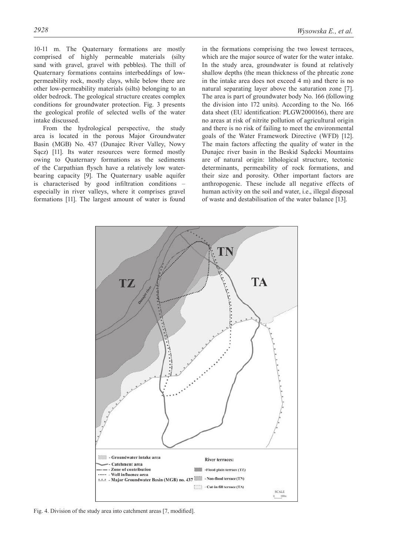10-11 m. The Quaternary formations are mostly comprised of highly permeable materials (silty sand with gravel, gravel with pebbles). The thill of Quaternary formations contains interbeddings of lowpermeability rock, mostly clays, while below there are other low-permeability materials (silts) belonging to an older bedrock. The geological structure creates complex conditions for groundwater protection. Fig. 3 presents the geological profile of selected wells of the water intake discussed.

From the hydrological perspective, the study area is located in the porous Major Groundwater Basin (MGB) No. 437 (Dunajec River Valley, Nowy Sącz) [11]. Its water resources were formed mostly owing to Quaternary formations as the sediments of the Carpathian flysch have a relatively low waterbearing capacity [9]. The Quaternary usable aquifer is characterised by good infiltration conditions – especially in river valleys, where it comprises gravel formations [11]. The largest amount of water is found

in the formations comprising the two lowest terraces, which are the major source of water for the water intake. In the study area, groundwater is found at relatively shallow depths (the mean thickness of the phreatic zone in the intake area does not exceed 4 m) and there is no natural separating layer above the saturation zone [7]. The area is part of groundwater body No. 166 (following the division into 172 units). According to the No. 166 data sheet (EU identification: PLGW2000166), there are no areas at risk of nitrite pollution of agricultural origin and there is no risk of failing to meet the environmental goals of the Water Framework Directive (WFD) [12]. The main factors affecting the quality of water in the Dunajec river basin in the Beskid Sądecki Mountains are of natural origin: lithological structure, tectonic determinants, permeability of rock formations, and their size and porosity. Other important factors are anthropogenic. These include all negative effects of human activity on the soil and water, i.e., illegal disposal of waste and destabilisation of the water balance [13].



Fig. 4. Division of the study area into catchment areas [7, modified].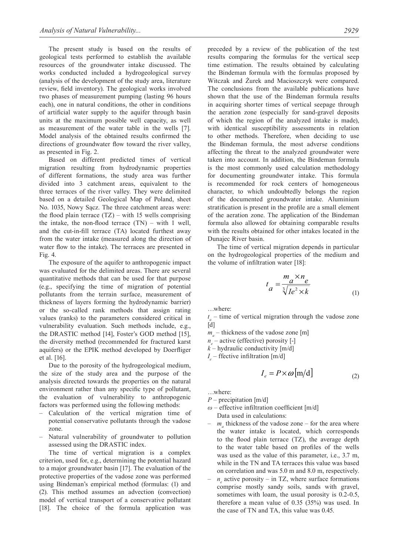The present study is based on the results of geological tests performed to establish the available resources of the groundwater intake discussed. The works conducted included a hydrogeological survey (analysis of the development of the study area, literature review, field inventory). The geological works involved two phases of measurement pumping (lasting 96 hours each), one in natural conditions, the other in conditions of artificial water supply to the aquifer through basin units at the maximum possible well capacity, as well as measurement of the water table in the wells [7]. Model analysis of the obtained results confirmed the directions of groundwater flow toward the river valley, as presented in Fig. 2.

Based on different predicted times of vertical migration resulting from hydrodynamic properties of different formations, the study area was further divided into 3 catchment areas, equivalent to the three terraces of the river valley. They were delimited based on a detailed Geological Map of Poland, sheet No. 1035, Nowy Sącz. The three catchment areas were: the flood plain terrace  $(TZ)$  – with 15 wells comprising the intake, the non-flood terrace  $(TN)$  – with 1 well, and the cut-in-fill terrace (TA) located furthest away from the water intake (measured along the direction of water flow to the intake). The terraces are presented in Fig. 4.

The exposure of the aquifer to anthropogenic impact was evaluated for the delimited areas. There are several quantitative methods that can be used for that purpose (e.g., specifying the time of migration of potential pollutants from the terrain surface, measurement of thickness of layers forming the hydrodynamic barrier) or the so-called rank methods that assign rating values (ranks) to the parameters considered critical in vulnerability evaluation. Such methods include, e.g., the DRASTIC method [14], Foster's GOD method [15], the diversity method (recommended for fractured karst aquifers) or the EPIK method developed by Doerfliger et al. [16].

Due to the porosity of the hydrogeological medium, the size of the study area and the purpose of the analysis directed towards the properties on the natural environment rather than any specific type of pollutant, the evaluation of vulnerability to anthropogenic factors was performed using the following methods:

- Calculation of the vertical migration time of potential conservative pollutants through the vadose zone.
- Natural vulnerability of groundwater to pollution assessed using the DRASTIC index.

The time of vertical migration is a complex criterion, used for, e.g., determining the potential hazard to a major groundwater basin [17]. The evaluation of the protective properties of the vadose zone was performed using Bindeman's empirical method (formulas: (1) and (2). This method assumes an advection (convection) model of vertical transport of a conservative pollutant [18]. The choice of the formula application was

preceded by a review of the publication of the test results comparing the formulas for the vertical seep time estimation. The results obtained by calculating the Bindeman formula with the formulas proposed by Witczak and Żurek and Macioszczyk were compared. The conclusions from the available publications have shown that the use of the Bindeman formula results in acquiring shorter times of vertical seepage through the aeration zone (especially for sand-gravel deposits of which the region of the analyzed intake is made), with identical susceptibility assessments in relation to other methods. Therefore, when deciding to use the Bindeman formula, the most adverse conditions affecting the threat to the analyzed groundwater were taken into account. In addition, the Bindeman formula is the most commonly used calculation methodology for documenting groundwater intake. This formula is recommended for rock centers of homogeneous character, to which undoubtedly belongs the region of the documented groundwater intake. Aluminium stratification is present in the profile are a small element of the aeration zone. The application of the Bindeman formula also allowed for obtaining comparable results with the results obtained for other intakes located in the Dunajec River basin.

The time of vertical migration depends in particular on the hydrogeological properties of the medium and the volume of infiltration water [18]:

$$
t_a = \frac{m_a \times n_e}{\sqrt[3]{I e^2 \times k}}
$$
 (1)

…where:

 $t_a$  – time of vertical migration through the vadose zone  $[d]$ 

 $m_a$  – thickness of the vadose zone [m]

*n<sub>e</sub>* – active (effective) porosity [-]

 $k$  – hydraulic conductivity [m/d]

 $I_e$  – ffective infiltration [m/d]

$$
I_e = P \times \omega \, [\text{m/d}] \tag{2}
$$

…where:

*P* – precipitation [m/d]

- *ω* effective infiltration coefficient [m/d] Data used in calculations:
- $m_a$  thickness of the vadose zone for the area where the water intake is located, which corresponds to the flood plain terrace (TZ), the average depth to the water table based on profiles of the wells was used as the value of this parameter, i.e., 3.7 m, while in the TN and TA terraces this value was based on correlation and was 5.0 m and 8.0 m, respectively.
- $-$  *n<sub>e</sub>* active porosity in TZ, where surface formations comprise mostly sandy soils, sands with gravel, sometimes with loam, the usual porosity is 0.2-0.5. therefore a mean value of 0.35 (35%) was used. In the case of TN and TA, this value was 0.45.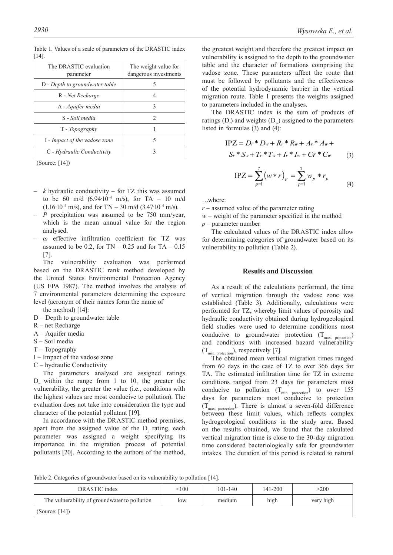| The DRASTIC evaluation<br>parameter | The weight value for<br>dangerous investments |  |  |  |
|-------------------------------------|-----------------------------------------------|--|--|--|
| D - Depth to groundwater table      |                                               |  |  |  |
| R - Net Recharge                    | 4                                             |  |  |  |
| A - Aquifer media                   | 3                                             |  |  |  |
| S - Soil media                      | $\mathfrak{D}_{\mathfrak{p}}$                 |  |  |  |
| T - Topography                      |                                               |  |  |  |
| I - Impact of the vadose zone       | 5                                             |  |  |  |
| C - Hydraulic Conductivity          |                                               |  |  |  |

Table 1. Values of a scale of parameters of the DRASTIC index [14].

(Source: [14])

- *k* hydraulic conductivity for TZ this was assumed to be 60 m/d (6.94∙10-4 m/s), for TA – 10 m/d  $(1.16·10<sup>-4</sup> m/s)$ , and for TN – 30 m/d  $(3.47·10<sup>-4</sup> m/s)$ .
- *P* precipitation was assumed to be 750 mm/year, which is the mean annual value for the region analysed.
- *ω* effective infiltration coefficient for TZ was assumed to be 0.2, for  $TN - 0.25$  and for  $TA - 0.15$ [7].

The vulnerability evaluation was performed based on the DRASTIC rank method developed by the United States Environmental Protection Agency (US EPA 1987). The method involves the analysis of 7 environmental parameters determining the exposure level (acronym of their names form the name of

the method) [14]:

- D Depth to groundwater table
- R net Recharge
- A Aquifer media
- S Soil media
- T Topography
- I Impact of the vadose zone
- C hydraulic Conductivity

The parameters analysed are assigned ratings  $D_r$  within the range from 1 to 10, the greater the vulnerability, the greater the value (i.e., conditions with the highest values are most conducive to pollution). The evaluation does not take into consideration the type and character of the potential pollutant [19].

In accordance with the DRASTIC method premises, apart from the assigned value of the  $D_r$  rating, each parameter was assigned a weight specifying its importance in the migration process of potential pollutants [20]. According to the authors of the method,

the greatest weight and therefore the greatest impact on vulnerability is assigned to the depth to the groundwater table and the character of formations comprising the vadose zone. These parameters affect the route that must be followed by pollutants and the effectiveness of the potential hydrodynamic barrier in the vertical migration route. Table 1 presents the weights assigned to parameters included in the analyses.

The DRASTIC index is the sum of products of ratings  $(D_r)$  and weights  $(D_w)$  assigned to the parameters listed in formulas (3) and (4):

$$
IPZ = D_r * D_w + R_r * R_w + A_r * A_w +S_r * S_w + T_r * T_w + I_r * I_w + Cr * C_w
$$
 (3)

$$
\text{IPZ} = \sum_{p=1}^{7} (w \ast r)_p = \sum_{p=1}^{7} w_p \ast r_p \tag{4}
$$

…where:

*r* – assumed value of the parameter rating

 $w$  – weight of the parameter specified in the method *p* – parameter number

The calculated values of the DRASTIC index allow for determining categories of groundwater based on its vulnerability to pollution (Table 2).

#### **Results and Discussion**

As a result of the calculations performed, the time of vertical migration through the vadose zone was established (Table 3). Additionally, calculations were performed for TZ, whereby limit values of porosity and hydraulic conductivity obtained during hydrogeological field studies were used to determine conditions most conducive to groundwater protection  $(T_{\text{max. protection}})$ and conditions with increased hazard vulnerability  $(T_{min. protection}$ , respectively [7].

The obtained mean vertical migration times ranged from 60 days in the case of TZ to over 366 days for TA. The estimated infiltration time for TZ in extreme conditions ranged from 23 days for parameters most conducive to pollution  $(T_{min. protection})$  to over 155 days for parameters most conducive to protection  $(T_{\text{max. protection}})$ . There is almost a seven-fold difference between these limit values, which reflects complex hydrogeological conditions in the study area. Based on the results obtained, we found that the calculated vertical migration time is close to the 30-day migration time considered bacteriologically safe for groundwater intakes. The duration of this period is related to natural

Table 2. Categories of groundwater based on its vulnerability to pollution [14].

| DRASTIC index                                 | < 100 | $101 - 140$ | $141 - 200$ | >200      |
|-----------------------------------------------|-------|-------------|-------------|-----------|
| The vulnerability of groundwater to pollution | low   | medium      | high        | very high |
| (Source: $[14]$ )                             |       |             |             |           |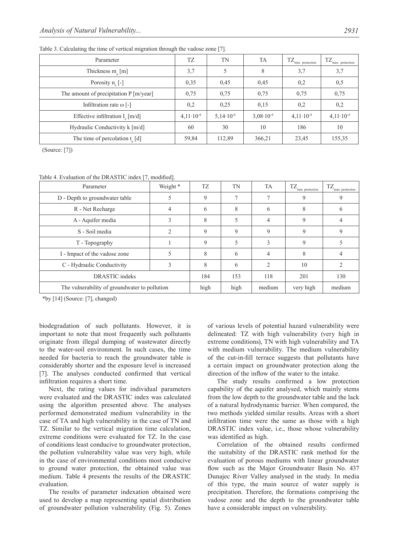| Parameter                                      | TZ                   | TN                   | <b>TA</b>            | $TZ_{\min.\ protection}$ | TZ<br>max. protection |
|------------------------------------------------|----------------------|----------------------|----------------------|--------------------------|-----------------------|
| Thickness $m_a$ [m]                            | 3,7                  |                      | 8                    | 3,7                      | 3,7                   |
| Porosity $n_e$ [-]                             | 0,35                 | 0,45                 | 0.45                 | 0,2                      | 0,5                   |
| The amount of precipitation $P[m\text{/year}]$ | 0,75                 | 0,75                 | 0,75                 | 0,75                     | 0,75                  |
| Infiltration rate $\omega$ [-]                 | 0,2                  | 0,25                 | 0.15                 | 0,2                      | 0,2                   |
| Effective infiltration $I_{\alpha}$ [m/d]      | $4,11 \cdot 10^{-4}$ | $5.14 \cdot 10^{-4}$ | $3.08 \cdot 10^{-4}$ | $4,11 \cdot 10^{-4}$     | $4,11 \cdot 10^{-4}$  |
| Hydraulic Conductivity $k \lceil m/d \rceil$   | 60                   | 30                   | 10                   | 186                      | 10                    |
| The time of percolation $t_{\alpha}$ [d]       | 59,84                | 112,89               | 366,21               | 23,45                    | 155,35                |

Table 3. Calculating the time of vertical migration through the vadose zone [7].

(Source: [7])

Table 4. Evaluation of the DRASTIC index [7, modified].

| Parameter                                     | Weight *       | <b>TZ</b>   | TN   | <b>TA</b>      | $TZ_{min. protection}$ | TZ<br>max. protection |
|-----------------------------------------------|----------------|-------------|------|----------------|------------------------|-----------------------|
| D - Depth to groundwater table                |                | 9           |      |                | 9                      | 9                     |
| R - Net Recharge                              | 4              | 6           | 8    | 6              | 8                      | 6                     |
| A - Aquifer media                             | 3              | 8           |      | 4              | 9                      |                       |
| S - Soil media                                | $\overline{c}$ | 9           | 9    | 9              | 9                      | 9                     |
| T - Topography                                |                | $\mathbf Q$ |      | 3              | 9                      |                       |
| I - Impact of the vadose zone                 |                | 8           | 6    | 4              | 8                      | 4                     |
| C - Hydraulic Conductivity                    | 3              | 8           | 6    | $\mathfrak{D}$ | 10                     | っ                     |
| DRASTIC indeks                                |                | 184         | 153  | 118            | 201                    | 130                   |
| The vulnerability of groundwater to pollution |                | high        | high | medium         | very high              | medium                |

\*by [14] (Source: [7], changed)

biodegradation of such pollutants. However, it is important to note that most frequently such pollutants originate from illegal dumping of wastewater directly to the water-soil environment. In such cases, the time needed for bacteria to reach the groundwater table is considerably shorter and the exposure level is increased [7]. The analyses conducted confirmed that vertical infiltration requires a short time.

Next, the rating values for individual parameters were evaluated and the DRASTIC index was calculated using the algorithm presented above. The analyses performed demonstrated medium vulnerability in the case of TA and high vulnerability in the case of TN and TZ. Similar to the vertical migration time calculation, extreme conditions were evaluated for TZ. In the case of conditions least conducive to groundwater protection, the pollution vulnerability value was very high, while in the case of environmental conditions most conducive to ground water protection, the obtained value was medium. Table 4 presents the results of the DRASTIC evaluation.

The results of parameter indexation obtained were used to develop a map representing spatial distribution of groundwater pollution vulnerability (Fig. 5). Zones of various levels of potential hazard vulnerability were delineated: TZ with high vulnerability (very high in extreme conditions), TN with high vulnerability and TA with medium vulnerability. The medium vulnerability of the cut-in-fill terrace suggests that pollutants have a certain impact on groundwater protection along the direction of the inflow of the water to the intake.

The study results confirmed a low protection capability of the aquifer analysed, which mainly stems from the low depth to the groundwater table and the lack of a natural hydrodynamic barrier. When compared, the two methods yielded similar results. Areas with a short infiltration time were the same as those with a high DRASTIC index value, i.e., those whose vulnerability was identified as high.

Correlation of the obtained results confirmed the suitability of the DRASTIC rank method for the evaluation of porous mediums with linear groundwater flow such as the Major Groundwater Basin No. 437 Dunajec River Valley analysed in the study. In media of this type, the main source of water supply is precipitation. Therefore, the formations comprising the vadose zone and the depth to the groundwater table have a considerable impact on vulnerability.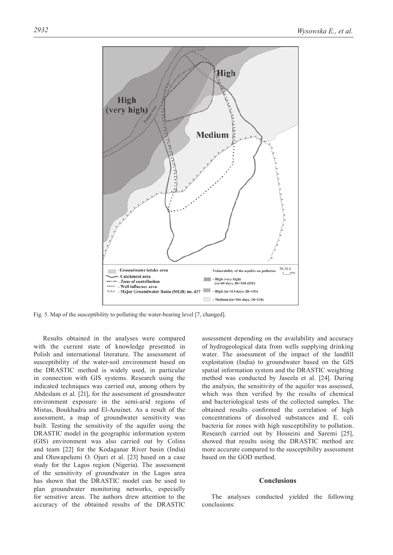

Fig. 5. Map of the susceptibility to polluting the water-bearing level [7, changed].

Results obtained in the analyses were compared with the current state of knowledge presented in Polish and international literature. The assessment of susceptibility of the water-soil environment based on the DRASTIC method is widely used, in particular in connection with GIS systems. Research using the indicated techniques was carried out, among others by Abdeslam et al. [21], for the assessment of groundwater environment exposure in the semi-arid regions of Mistas, Boukhadra and El-Aouinet. As a result of the assessment, a map of groundwater sensitivity was built. Testing the sensitivity of the aquifer using the DRASTIC model in the geographic information system (GIS) environment was also carried out by Colins and team [22] for the Kodaganar River basin (India) and Oluwapelumi O. Ojuri et al. [23] based on a case study for the Lagos region (Nigeria). The assessment of the sensitivity of groundwater in the Lagos area has shown that the DRASTIC model can be used to plan groundwater monitoring networks, especially for sensitive areas. The authors drew attention to the accuracy of the obtained results of the DRASTIC

assessment depending on the availability and accuracy of hydrogeological data from wells supplying drinking water. The assessment of the impact of the landfill exploitation (India) to groundwater based on the GIS spatial information system and the DRASTIC weighting method was conducted by Jaseela et al. [24]. During the analysis, the sensitivity of the aquifer was assessed, which was then verified by the results of chemical and bacteriological tests of the collected samples. The obtained results confirmed the correlation of high concentrations of dissolved substances and E. coli bacteria for zones with high susceptibility to pollution. Research carried out by Hosseini and Saremi [25], showed that results using the DRASTIC method are more accurate compared to the susceptibility assessment based on the GOD method.

#### **Conclusions**

The analyses conducted yielded the following conclusions: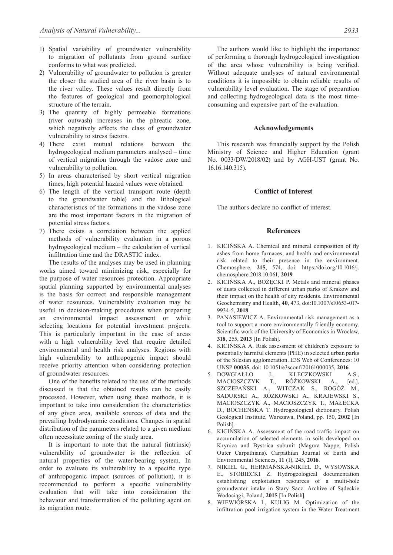- 1) Spatial variability of groundwater vulnerability to migration of pollutants from ground surface conforms to what was predicted.
- 2) Vulnerability of groundwater to pollution is greater the closer the studied area of the river basin is to the river valley. These values result directly from the features of geological and geomorphological structure of the terrain.
- 3) The quantity of highly permeable formations (river outwash) increases in the phreatic zone, which negatively affects the class of groundwater vulnerability to stress factors.
- 4) There exist mutual relations between the hydrogeological medium parameters analysed – time of vertical migration through the vadose zone and vulnerability to pollution.
- 5) In areas characterised by short vertical migration times, high potential hazard values were obtained.
- 6) The length of the vertical transport route (depth to the groundwater table) and the lithological characteristics of the formations in the vadose zone are the most important factors in the migration of potential stress factors.
- 7) There exists a correlation between the applied methods of vulnerability evaluation in a porous hydrogeological medium – the calculation of vertical infiltration time and the DRASTIC index.

The results of the analyses may be used in planning works aimed toward minimizing risk, especially for the purpose of water resources protection. Appropriate spatial planning supported by environmental analyses is the basis for correct and responsible management of water resources. Vulnerability evaluation may be useful in decision-making procedures when preparing an environmental impact assessment or while selecting locations for potential investment projects. This is particularly important in the case of areas with a high vulnerability level that require detailed environmental and health risk analyses. Regions with high vulnerability to anthropogenic impact should receive priority attention when considering protection of groundwater resources.

One of the benefits related to the use of the methods discussed is that the obtained results can be easily processed. However, when using these methods, it is important to take into consideration the characteristics of any given area, available sources of data and the prevailing hydrodynamic conditions. Changes in spatial distribution of the parameters related to a given medium often necessitate zoning of the study area.

It is important to note that the natural (intrinsic) vulnerability of groundwater is the reflection of natural properties of the water-bearing system. In order to evaluate its vulnerability to a specific type of anthropogenic impact (sources of pollution), it is recommended to perform a specific vulnerability evaluation that will take into consideration the behaviour and transformation of the polluting agent on its migration route.

The authors would like to highlight the importance of performing a thorough hydrogeological investigation of the area whose vulnerability is being verified. Without adequate analyses of natural environmental conditions it is impossible to obtain reliable results of vulnerability level evaluation. The stage of preparation and collecting hydrogeological data is the most timeconsuming and expensive part of the evaluation.

#### **Acknowledgements**

This research was financially support by the Polish Ministry of Science and Higher Education (grant No. 0033/DW/2018/02) and by AGH-UST (grant No. 16.16.140.315).

#### **Conflict of interest**

The authors declare no conflict of interest.

#### **References**

- 1. KICIŃSKA A. Chemical and mineral composition of fly ashes from home furnaces, and health and environmental risk related to their presence in the environment. Chemosphere, **215**, 574, doi: https://doi.org/10.1016/j. chemosphere.2018.10.061, **2019**.
- 2. KICIŃSKA A., BOŻĘCKI P. Metals and mineral phases of dusts collected in different urban parks of Krakow and their impact on the health of city residents. Environmental Geochemistry and Health, **40**, 473, doi:10.1007/s10653-017- 9934-5, **2018**.
- 3. PANASIEWICZ A. Environmental risk management as a tool to support a more environmentally friendly economy. Scientific work of the University of Economics in Wroclaw, **318**, 255, **2013** [In Polish].
- 4. KICIŃSKA A. Risk assessment of children's exposure to potentially harmful elements (PHE) in selected urban parks of the Silesian agglomeration. E3S Web of Conferences: 10 UNSP **00035**, doi: 10.1051/e3sconf/20161000035, **2016**.
- 5. DOWGIAŁŁO J., KLECZKOWSKI A.S., MACIOSZCZYK T., RÓŻKOWSKI A., [ed.], SZCZEPAŃSKI A., WITCZAK S., ROGÓŻ M., SADURSKI A., RÓŻKOWSKI A., KRAJEWSKI S., MACIOSZCZYK A., MACIOSZCZYK T., MAŁECKA D., BOCHEŃSKA T. Hydrogeological dictionary. Polish Geological Institute, Warszawa, Poland, pp. 150, **2002** [In Polish].
- 6. KICIŃSKA A. Assessment of the road traffic impact on accumulation of selected elements in soils developed on Krynica and Bystrica subunit (Magura Nappe, Polish Outer Carpathians). Carpathian Journal of Earth and Environmental Sciences, **11** (1), 245, **2016**.
- 7. NIKIEL G., HERMAŃSKA-NIKIEL D., WYSOWSKA E., STOBIECKI Z. Hydrogeological documentation establishing exploitation resources of a multi-hole groundwater intake in Stary Sącz. Archive of Sądeckie Wodociągi, Poland, **2015** [In Polish].
- 8. WIEWIÓRSKA I., KULIG M. Optimization of the infiltration pool irrigation system in the Water Treatment